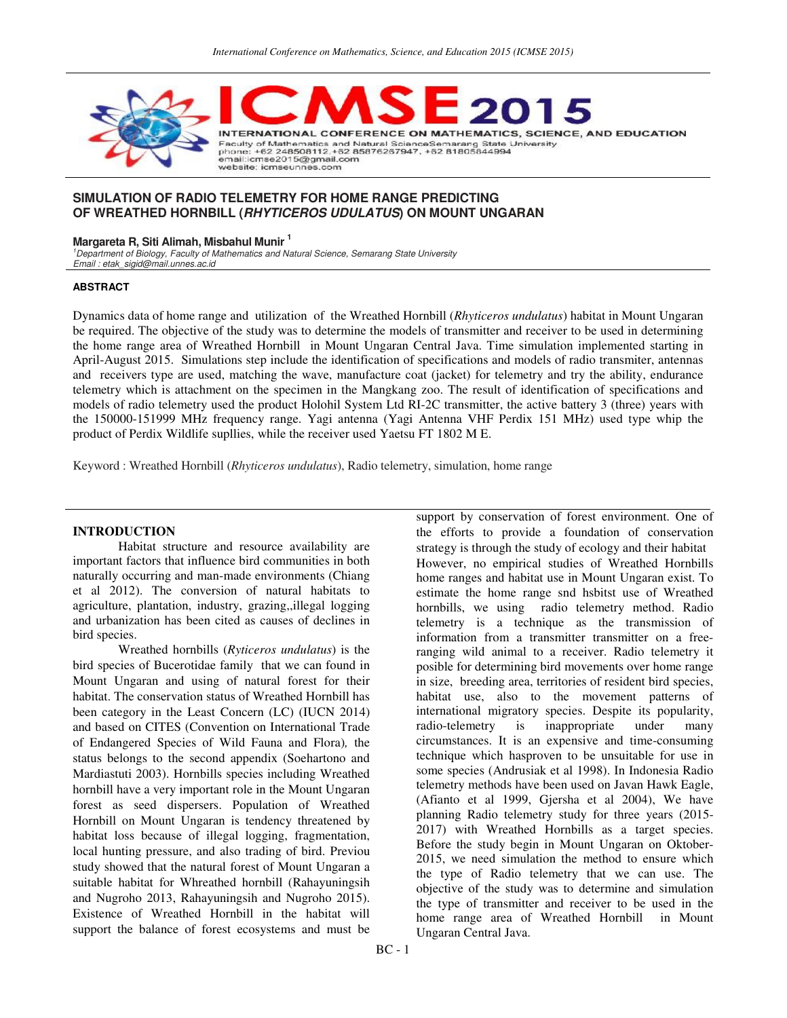

## **SIMULATION OF RADIO TELEMETRY FOR HOME RANGE PREDICTING OF WREATHED HORNBILL (RHYTICEROS UDULATUS) ON MOUNT UNGARAN**

### **Margareta R, Siti Alimah, Misbahul Munir <sup>1</sup>**

<sup>1</sup>Department of Biology, Faculty of Mathematics and Natural Science, Semarang State University Email : etak\_sigid@mail.unnes.ac.id

#### **ABSTRACT**

Dynamics data of home range and utilization of the Wreathed Hornbill (*Rhyticeros undulatus*) habitat in Mount Ungaran be required. The objective of the study was to determine the models of transmitter and receiver to be used in determining the home range area of Wreathed Hornbill in Mount Ungaran Central Java. Time simulation implemented starting in April-August 2015. Simulations step include the identification of specifications and models of radio transmiter, antennas and receivers type are used, matching the wave, manufacture coat (jacket) for telemetry and try the ability, endurance telemetry which is attachment on the specimen in the Mangkang zoo. The result of identification of specifications and models of radio telemetry used the product Holohil System Ltd RI-2C transmitter, the active battery 3 (three) years with the 150000-151999 MHz frequency range. Yagi antenna (Yagi Antenna VHF Perdix 151 MHz) used type whip the product of Perdix Wildlife supllies, while the receiver used Yaetsu FT 1802 M E.

Keyword : Wreathed Hornbill (*Rhyticeros undulatus*), Radio telemetry, simulation, home range

#### **INTRODUCTION**

Habitat structure and resource availability are important factors that influence bird communities in both naturally occurring and man-made environments (Chiang et al 2012). The conversion of natural habitats to agriculture, plantation, industry, grazing,,illegal logging and urbanization has been cited as causes of declines in bird species.

Wreathed hornbills (*Ryticeros undulatus*) is the bird species of Bucerotidae family that we can found in Mount Ungaran and using of natural forest for their habitat. The conservation status of Wreathed Hornbill has been category in the Least Concern (LC) (IUCN 2014) and based on CITES (Convention on International Trade of Endangered Species of Wild Fauna and Flora)*,* the status belongs to the second appendix (Soehartono and Mardiastuti 2003). Hornbills species including Wreathed hornbill have a very important role in the Mount Ungaran forest as seed dispersers. Population of Wreathed Hornbill on Mount Ungaran is tendency threatened by habitat loss because of illegal logging, fragmentation, local hunting pressure, and also trading of bird. Previou study showed that the natural forest of Mount Ungaran a suitable habitat for Whreathed hornbill (Rahayuningsih and Nugroho 2013, Rahayuningsih and Nugroho 2015). Existence of Wreathed Hornbill in the habitat will support the balance of forest ecosystems and must be

support by conservation of forest environment. One of the efforts to provide a foundation of conservation strategy is through the study of ecology and their habitat However, no empirical studies of Wreathed Hornbills home ranges and habitat use in Mount Ungaran exist. To estimate the home range snd hsbitst use of Wreathed hornbills, we using radio telemetry method. Radio telemetry is a technique as the transmission of information from a transmitter transmitter on a freeranging wild animal to a receiver. Radio telemetry it posible for determining bird movements over home range in size, breeding area, territories of resident bird species, habitat use, also to the movement patterns of international migratory species. Despite its popularity, radio-telemetry is inappropriate under many circumstances. It is an expensive and time-consuming technique which hasproven to be unsuitable for use in some species (Andrusiak et al 1998). In Indonesia Radio telemetry methods have been used on Javan Hawk Eagle, (Afianto et al 1999, Gjersha et al 2004), We have planning Radio telemetry study for three years (2015- 2017) with Wreathed Hornbills as a target species. Before the study begin in Mount Ungaran on Oktober-2015, we need simulation the method to ensure which the type of Radio telemetry that we can use. The objective of the study was to determine and simulation the type of transmitter and receiver to be used in the home range area of Wreathed Hornbill in Mount Ungaran Central Java.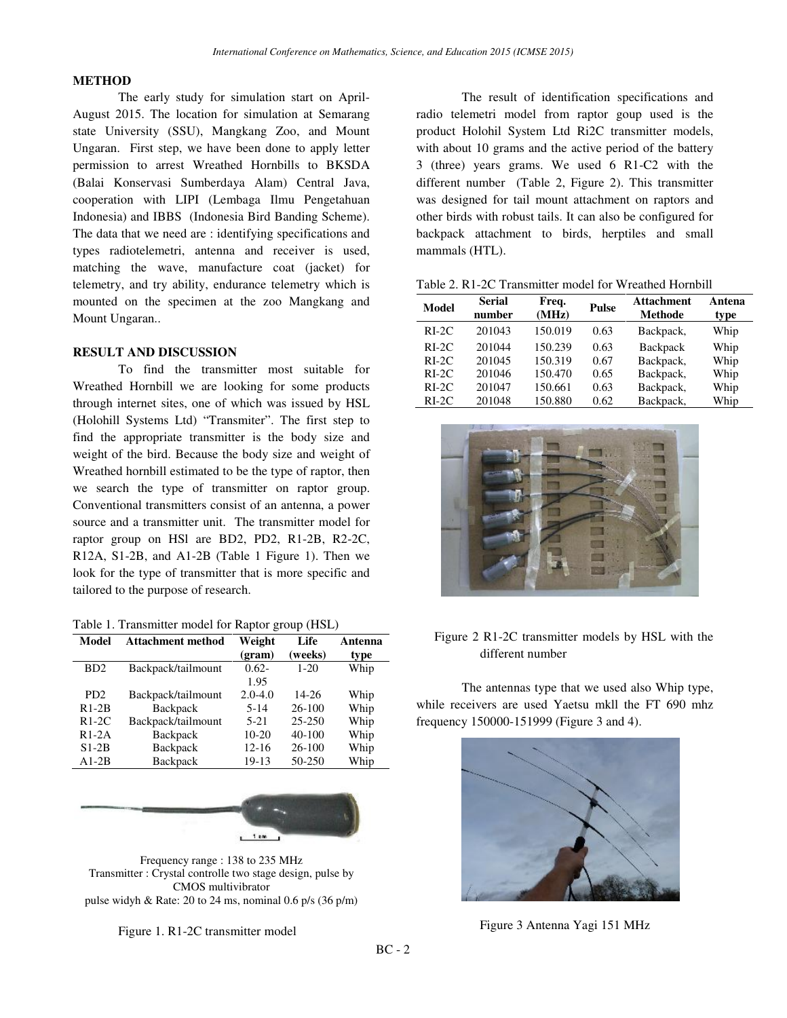### **METHOD**

The early study for simulation start on April-August 2015. The location for simulation at Semarang state University (SSU), Mangkang Zoo, and Mount Ungaran. First step, we have been done to apply letter permission to arrest Wreathed Hornbills to BKSDA (Balai Konservasi Sumberdaya Alam) Central Java, cooperation with LIPI (Lembaga Ilmu Pengetahuan Indonesia) and IBBS (Indonesia Bird Banding Scheme). The data that we need are : identifying specifications and types radiotelemetri, antenna and receiver is used, matching the wave, manufacture coat (jacket) for telemetry, and try ability, endurance telemetry which is mounted on the specimen at the zoo Mangkang and Mount Ungaran..

### **RESULT AND DISCUSSION**

To find the transmitter most suitable for Wreathed Hornbill we are looking for some products through internet sites, one of which was issued by HSL (Holohill Systems Ltd) "Transmiter". The first step to find the appropriate transmitter is the body size and weight of the bird. Because the body size and weight of Wreathed hornbill estimated to be the type of raptor, then we search the type of transmitter on raptor group. Conventional transmitters consist of an antenna, a power source and a transmitter unit. The transmitter model for raptor group on HSl are BD2, PD2, R1-2B, R2-2C, R12A, S1-2B, and A1-2B (Table 1 Figure 1). Then we look for the type of transmitter that is more specific and tailored to the purpose of research.

#### Table 1. Transmitter model for Raptor group (HSL)

| Model                       | <b>Attachment method</b> | Weight<br>(gram) | Life<br>(weeks) | Antenna<br>type |
|-----------------------------|--------------------------|------------------|-----------------|-----------------|
| B <sub>D</sub> <sub>2</sub> | Backpack/tailmount       | $0.62 -$<br>1.95 | $1 - 20$        | Whip            |
| P <sub>D</sub> <sub>2</sub> | Backpack/tailmount       | $2.0 - 4.0$      | 14-26           | Whip            |
| $R1-2B$                     | <b>Backpack</b>          | $5 - 14$         | 26-100          | Whip            |
| $R1-2C$                     | Backpack/tailmount       | $5-21$           | $25 - 250$      | Whip            |
| $R1-2A$                     | Backpack                 | $10-20$          | $40 - 100$      | Whip            |
| $S1-2B$                     | Backpack                 | $12 - 16$        | $26 - 100$      | Whip            |
| $A1-2B$                     | Backpack                 | 19-13            | 50-250          | Whip            |



Frequency range : 138 to 235 MHz Transmitter : Crystal controlle two stage design, pulse by CMOS multivibrator pulse widyh & Rate: 20 to 24 ms, nominal 0.6 p/s (36 p/m)

Figure 1. R1-2C transmitter model

The result of identification specifications and radio telemetri model from raptor goup used is the product Holohil System Ltd Ri2C transmitter models, with about 10 grams and the active period of the battery 3 (three) years grams. We used 6 R1-C2 with the different number (Table 2, Figure 2). This transmitter was designed for tail mount attachment on raptors and other birds with robust tails. It can also be configured for backpack attachment to birds, herptiles and small mammals (HTL).

| Table 2. R1-2C Transmitter model for Wreathed Hornbill |  |  |
|--------------------------------------------------------|--|--|
|--------------------------------------------------------|--|--|

| Model   | <b>Serial</b><br>number | Freq.<br>(MHz) | <b>Pulse</b> | <b>Attachment</b><br><b>Methode</b> | Antena<br>type |
|---------|-------------------------|----------------|--------------|-------------------------------------|----------------|
| $RI-2C$ | 201043                  | 150.019        | 0.63         | Backpack,                           | Whip           |
| $RI-2C$ | 201044                  | 150.239        | 0.63         | Backpack                            | Whip           |
| $RI-2C$ | 201045                  | 150.319        | 0.67         | Backpack,                           | Whip           |
| $RI-2C$ | 201046                  | 150.470        | 0.65         | Backpack,                           | Whip           |
| $RI-2C$ | 201047                  | 150.661        | 0.63         | Backpack,                           | Whip           |
| $RI-2C$ | 201048                  | 150.880        | 0.62         | Backpack,                           | Whip           |



## Figure 2 R1-2C transmitter models by HSL with the different number

The antennas type that we used also Whip type, while receivers are used Yaetsu mkll the FT 690 mhz frequency 150000-151999 (Figure 3 and 4).



Figure 3 Antenna Yagi 151 MHz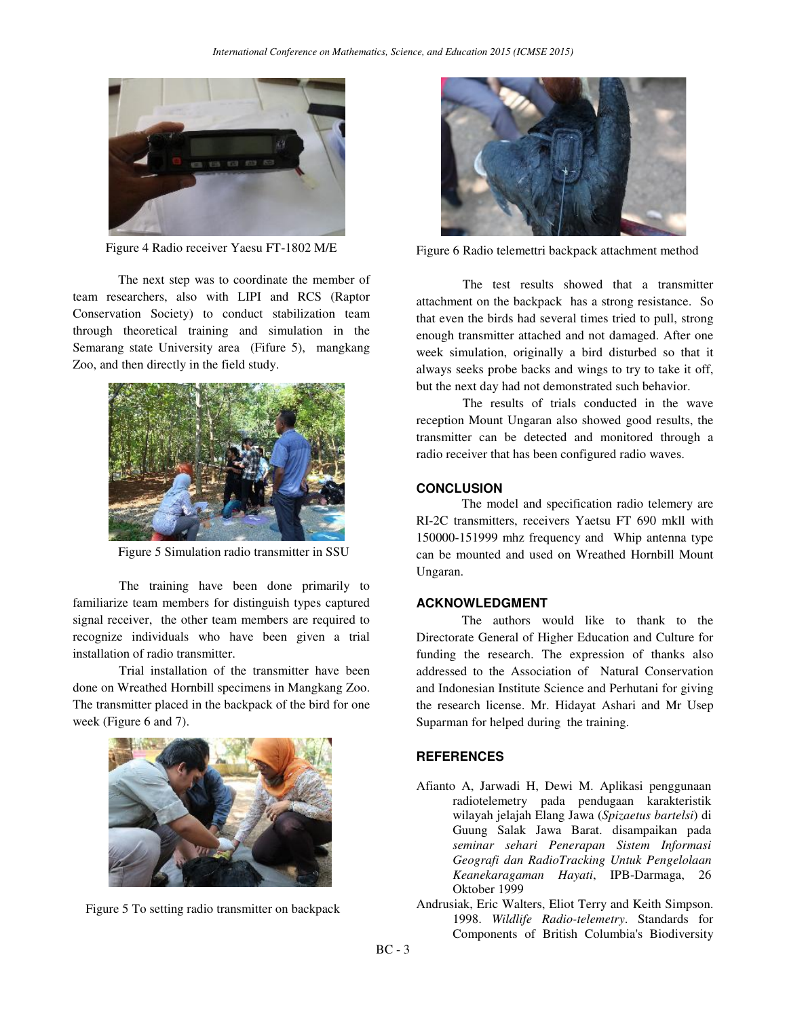

Figure 4 Radio receiver Yaesu FT-1802 M/E

The next step was to coordinate the member of team researchers, also with LIPI and RCS (Raptor Conservation Society) to conduct stabilization team through theoretical training and simulation in the Semarang state University area (Fifure 5), mangkang Zoo, and then directly in the field study.



Figure 5 Simulation radio transmitter in SSU

The training have been done primarily to familiarize team members for distinguish types captured signal receiver, the other team members are required to recognize individuals who have been given a trial installation of radio transmitter.

Trial installation of the transmitter have been done on Wreathed Hornbill specimens in Mangkang Zoo. The transmitter placed in the backpack of the bird for one week (Figure 6 and 7).



Figure 5 To setting radio transmitter on backpack



Figure 6 Radio telemettri backpack attachment method

The test results showed that a transmitter attachment on the backpack has a strong resistance. So that even the birds had several times tried to pull, strong enough transmitter attached and not damaged. After one week simulation, originally a bird disturbed so that it always seeks probe backs and wings to try to take it off, but the next day had not demonstrated such behavior.

The results of trials conducted in the wave reception Mount Ungaran also showed good results, the transmitter can be detected and monitored through a radio receiver that has been configured radio waves.

### **CONCLUSION**

The model and specification radio telemery are RI-2C transmitters, receivers Yaetsu FT 690 mkll with 150000-151999 mhz frequency and Whip antenna type can be mounted and used on Wreathed Hornbill Mount Ungaran.

## **ACKNOWLEDGMENT**

The authors would like to thank to the Directorate General of Higher Education and Culture for funding the research. The expression of thanks also addressed to the Association of Natural Conservation and Indonesian Institute Science and Perhutani for giving the research license. Mr. Hidayat Ashari and Mr Usep Suparman for helped during the training.

# **REFERENCES**

- Afianto A, Jarwadi H, Dewi M. Aplikasi penggunaan radiotelemetry pada pendugaan karakteristik wilayah jelajah Elang Jawa (*Spizaetus bartelsi*) di Guung Salak Jawa Barat. disampaikan pada *seminar sehari Penerapan Sistem Informasi Geografi dan RadioTracking Untuk Pengelolaan Keanekaragaman Hayati*, IPB-Darmaga, 26 Oktober 1999
- Andrusiak, Eric Walters, Eliot Terry and Keith Simpson. 1998. *Wildlife Radio-telemetry*. Standards for Components of British Columbia's Biodiversity